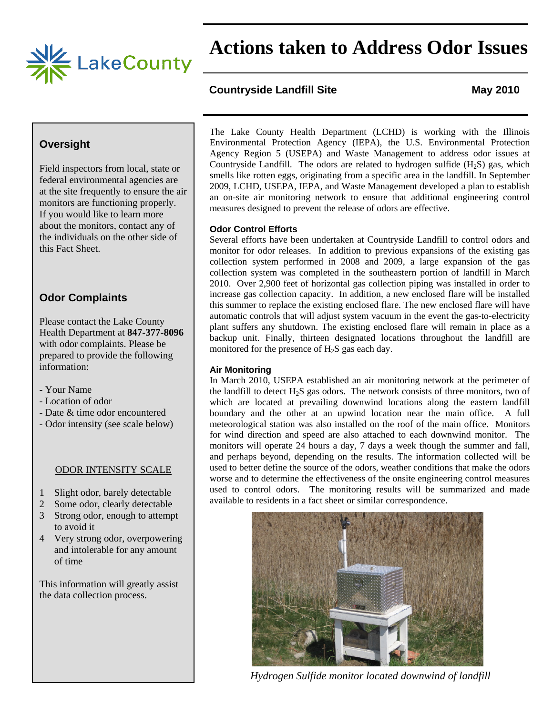

 **Actions taken to Address Odor Issues**

## **Countryside Landfill Site May 2010**

## **Oversight**

Field inspectors from local, state or federal environmental agencies are at the site frequently to ensure the air monitors are functioning properly. If you would like to learn more about the monitors, contact any of the individuals on the other side of this Fact Sheet.

# **Odor Complaints**

Please contact the Lake County Health Department at **847-377-8096** with odor complaints. Please be prepared to provide the following information:

- Your Name
- Location of odor
- Date & time odor encountered
- Odor intensity (see scale below)

#### ODOR INTENSITY SCALE

- 1 Slight odor, barely detectable
- 2 Some odor, clearly detectable
- 3 Strong odor, enough to attempt to avoid it
- 4 Very strong odor, overpowering and intolerable for any amount of time

This information will greatly assist the data collection process.

The Lake County Health Department (LCHD) is working with the Illinois Environmental Protection Agency (IEPA), the U.S. Environmental Protection Agency Region 5 (USEPA) and Waste Management to address odor issues at Countryside Landfill. The odors are related to hydrogen sulfide  $(H_2S)$  gas, which smells like rotten eggs, originating from a specific area in the landfill. In September 2009, LCHD, USEPA, IEPA, and Waste Management developed a plan to establish an on-site air monitoring network to ensure that additional engineering control measures designed to prevent the release of odors are effective.

### **Odor Control Efforts**

Several efforts have been undertaken at Countryside Landfill to control odors and monitor for odor releases. In addition to previous expansions of the existing gas collection system performed in 2008 and 2009, a large expansion of the gas collection system was completed in the southeastern portion of landfill in March 2010. Over 2,900 feet of horizontal gas collection piping was installed in order to increase gas collection capacity. In addition, a new enclosed flare will be installed this summer to replace the existing enclosed flare. The new enclosed flare will have automatic controls that will adjust system vacuum in the event the gas-to-electricity plant suffers any shutdown. The existing enclosed flare will remain in place as a backup unit. Finally, thirteen designated locations throughout the landfill are monitored for the presence of  $H_2S$  gas each day.

#### **Air Monitoring**

In March 2010, USEPA established an air monitoring network at the perimeter of the landfill to detect  $H_2S$  gas odors. The network consists of three monitors, two of which are located at prevailing downwind locations along the eastern landfill boundary and the other at an upwind location near the main office. A full meteorological station was also installed on the roof of the main office. Monitors for wind direction and speed are also attached to each downwind monitor. The monitors will operate 24 hours a day, 7 days a week though the summer and fall, and perhaps beyond, depending on the results. The information collected will be used to better define the source of the odors, weather conditions that make the odors worse and to determine the effectiveness of the onsite engineering control measures used to control odors. The monitoring results will be summarized and made available to residents in a fact sheet or similar correspondence.



*Hydrogen Sulfide monitor located downwind of landfill*